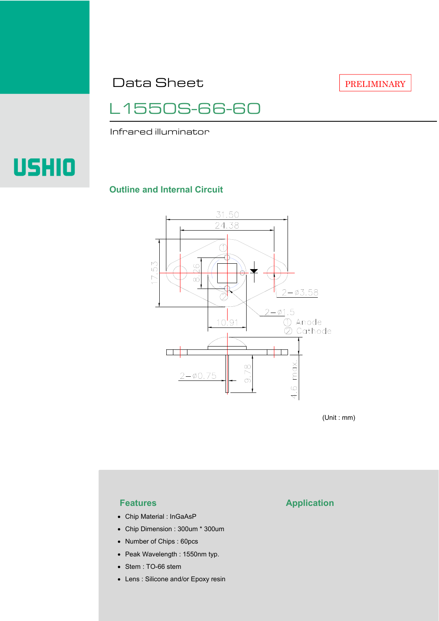Data Sheet

PRELIMINARY

L1550S-66-60

Infrared illuminator

# **USHIO**

#### **Outline and Internal Circuit**



(Unit : mm)

- Chip Material : InGaAsP
- Chip Dimension : 300um \* 300um
- Number of Chips : 60pcs
- Peak Wavelength : 1550nm typ.
- Stem : TO-66 stem
- Lens : Silicone and/or Epoxy resin

### **Features Application**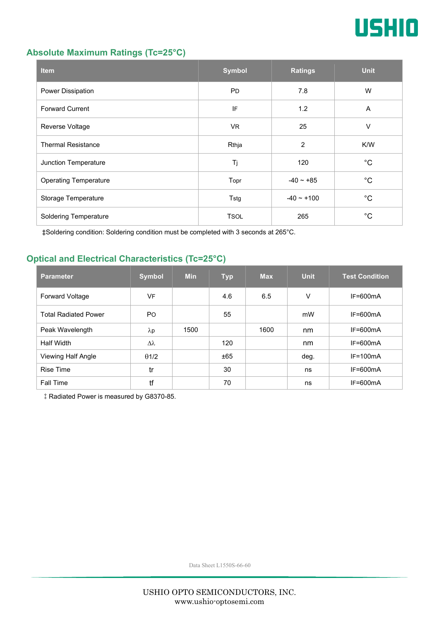

#### **Absolute Maximum Ratings (Tc=25°C)**

| <b>Item</b>                  | <b>Symbol</b> | <b>Ratings</b>  | <b>Unit</b> |
|------------------------------|---------------|-----------------|-------------|
| Power Dissipation            | <b>PD</b>     | 7.8             | W           |
| <b>Forward Current</b>       | IF            | 1.2             | A           |
| Reverse Voltage              | <b>VR</b>     | 25              | V           |
| <b>Thermal Resistance</b>    | Rthja         | $\overline{2}$  | K/W         |
| Junction Temperature         | Tj            | 120             | °C          |
| <b>Operating Temperature</b> | Topr          | $-40 - 85$      | °C          |
| Storage Temperature          | Tstg          | $-40 \sim +100$ | °C          |
| <b>Soldering Temperature</b> | <b>TSOL</b>   | 265             | °C          |

‡Soldering condition: Soldering condition must be completed with 3 seconds at 265°C.

#### **Optical and Electrical Characteristics (Tc=25°C)**

| <b>Parameter</b>            | <b>Symbol</b>  | <b>Min</b> | <b>Typ</b> | <b>Max</b> | <b>Unit</b> | <b>Test Condition</b> |
|-----------------------------|----------------|------------|------------|------------|-------------|-----------------------|
| <b>Forward Voltage</b>      | VF             |            | 4.6        | 6.5        | V           | $IF=600mA$            |
| <b>Total Radiated Power</b> | P <sub>O</sub> |            | 55         |            | mW          | $IF=600mA$            |
| Peak Wavelength             | $\lambda$ p    | 1500       |            | 1600       | nm          | $IF=600mA$            |
| <b>Half Width</b>           | Δλ             |            | 120        |            | nm          | $IF=600mA$            |
| Viewing Half Angle          | $\theta$ 1/2   |            | ±65        |            | deg.        | $IF=100mA$            |
| <b>Rise Time</b>            | tr             |            | 30         |            | ns          | $IF=600mA$            |
| <b>Fall Time</b>            | tf             |            | 70         |            | ns          | $IF=600mA$            |

‡Radiated Power is measured by G8370-85.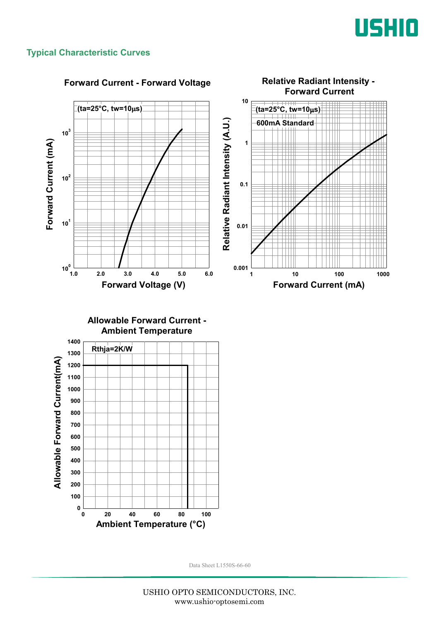

#### **Typical Characteristic Curves**

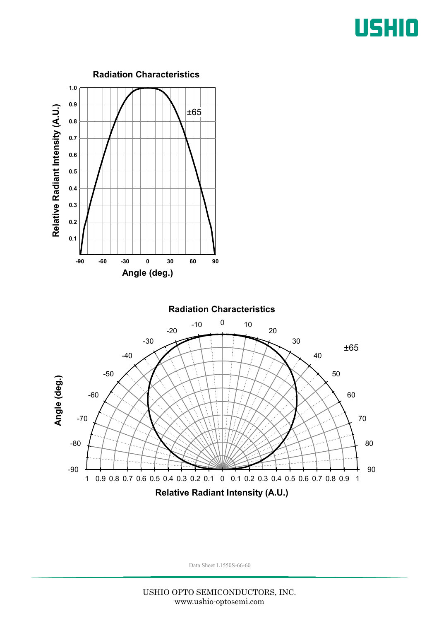## USHIO

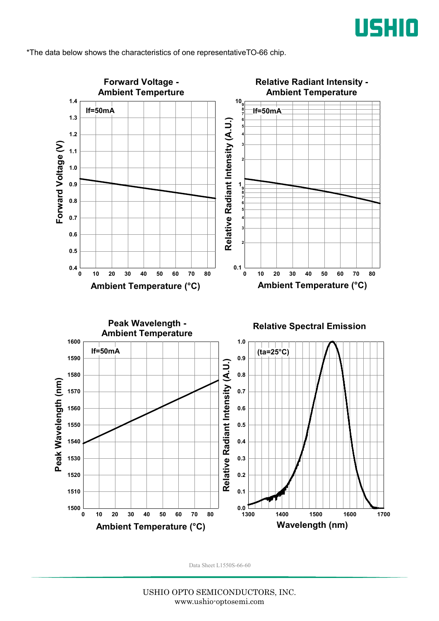

\*The data below shows the characteristics of one representativeTO-66 chip.